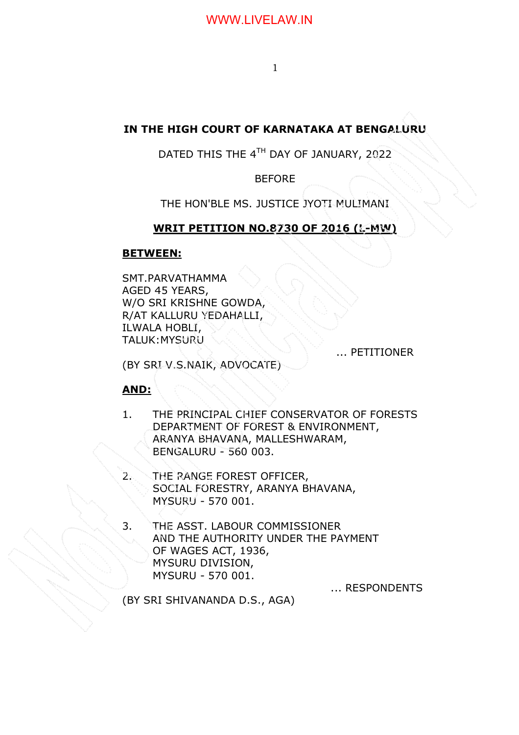# **IN THE HIGH COURT OF KARNATAKA AT BENGALURU**

## DATED THIS THE 4TH DAY OF JANUARY, 2022

**BEFORE** 

THE HON'BLE MS. JUSTICE JYOTI MULIMANI

## **WRIT PETITION NO.8730 OF 2016 (L-MW)**

## **BETWEEN:**

SMT.PARVATHAMMA AGED 45 YEARS, W/O SRI KRISHNE GOWDA, R/AT KALLURU YEDAHALLI, ILWALA HOBLI, TALUK:MYSURU

... PETITIONER

(BY SRI V.S.NAIK, ADVOCATE)

## **AND:**

- 1. THE PRINCIPAL CHIEF CONSERVATOR OF FORESTS DEPARTMENT OF FOREST & ENVIRONMENT, ARANYA BHAVANA, MALLESHWARAM, BENGALURU - 560 003.
- 2. THE RANGE FOREST OFFICER, SOCIAL FORESTRY, ARANYA BHAVANA, MYSURU - 570 001.
- 3. THE ASST. LABOUR COMMISSIONER AND THE AUTHORITY UNDER THE PAYMENT OF WAGES ACT, 1936, MYSURU DIVISION, MYSURU - 570 001.

... RESPONDENTS

(BY SRI SHIVANANDA D.S., AGA)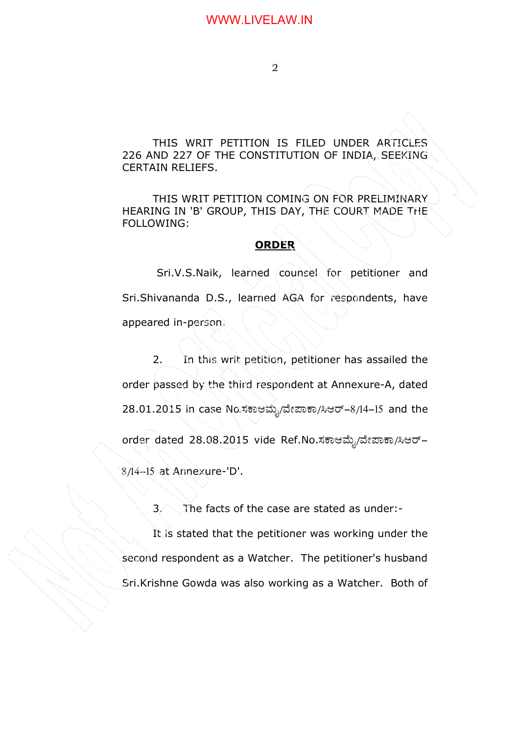THIS WRIT PETITION IS FILED UNDER ARTICLES 226 AND 227 OF THE CONSTITUTION OF INDIA, SEEKING CERTAIN RELIEFS.

THIS WRIT PETITION COMING ON FOR PRELIMINARY HEARING IN 'B' GROUP, THIS DAY, THE COURT MADE THE FOLLOWING:

#### **ORDER**

 Sri.V.S.Naik, learned counsel for petitioner and Sri.Shivananda D.S., learned AGA for respondents, have appeared in-person.

2. In this writ petition, petitioner has assailed the order passed by the third respondent at Annexure-A, dated 28.01.2015 in case No.ಸಕಾಆಮ್ಸೆ/ವೇಪಾಕಾ/ಸಿಆರ್-8/14-15 and the order dated 28.08.2015 vide Ref.No.ಸಕಾಆಮ್ನೆ/ವೇಪಾಕಾ/ಸಿಆರ್– 8/14-15 at Annexure-'D'.

3. The facts of the case are stated as under:-

It is stated that the petitioner was working under the second respondent as a Watcher. The petitioner's husband Sri.Krishne Gowda was also working as a Watcher. Both of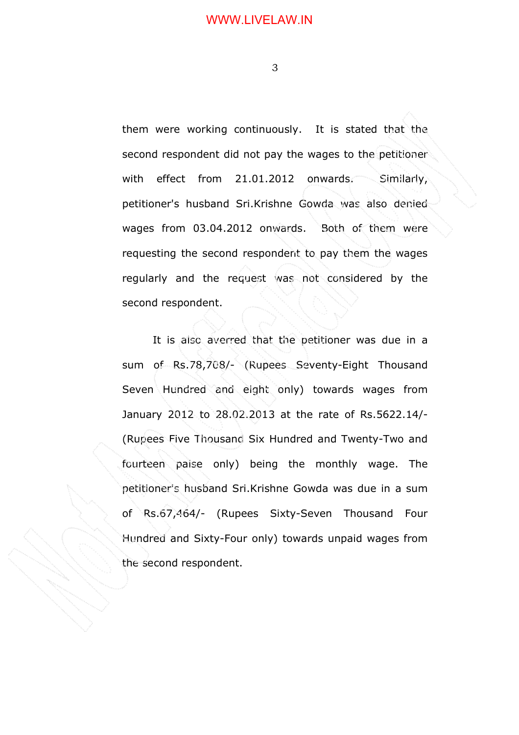them were working continuously. It is stated that the second respondent did not pay the wages to the petitioner with effect from 21.01.2012 onwards. Similarly, petitioner's husband Sri.Krishne Gowda was also denied wages from 03.04.2012 onwards. Both of them were requesting the second respondent to pay them the wages regularly and the request was not considered by the second respondent.

It is also averred that the petitioner was due in a sum of Rs.78,708/- (Rupees Seventy-Eight Thousand Seven Hundred and eight only) towards wages from January 2012 to 28.02.2013 at the rate of Rs.5622.14/- (Rupees Five Thousand Six Hundred and Twenty-Two and fourteen paise only) being the monthly wage. The petitioner's husband Sri.Krishne Gowda was due in a sum of Rs.67,464/- (Rupees Sixty-Seven Thousand Four Hundred and Sixty-Four only) towards unpaid wages from the second respondent.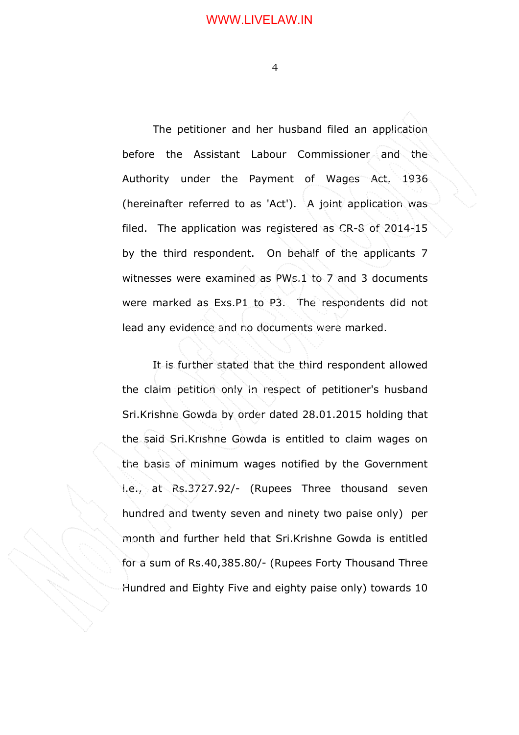The petitioner and her husband filed an application before the Assistant Labour Commissioner and the Authority under the Payment of Wages Act, 1936 (hereinafter referred to as 'Act'). A joint application was filed. The application was registered as CR-8 of 2014-15 by the third respondent. On behalf of the applicants 7 witnesses were examined as PWs.1 to 7 and 3 documents were marked as Exs.P1 to P3. The respondents did not lead any evidence and no documents were marked.

It is further stated that the third respondent allowed the claim petition only in respect of petitioner's husband Sri.Krishne Gowda by order dated 28.01.2015 holding that the said Sri.Krishne Gowda is entitled to claim wages on the basis of minimum wages notified by the Government i.e., at Rs.3727.92/- (Rupees Three thousand seven hundred and twenty seven and ninety two paise only) per month and further held that Sri.Krishne Gowda is entitled for a sum of Rs.40,385.80/- (Rupees Forty Thousand Three Hundred and Eighty Five and eighty paise only) towards 10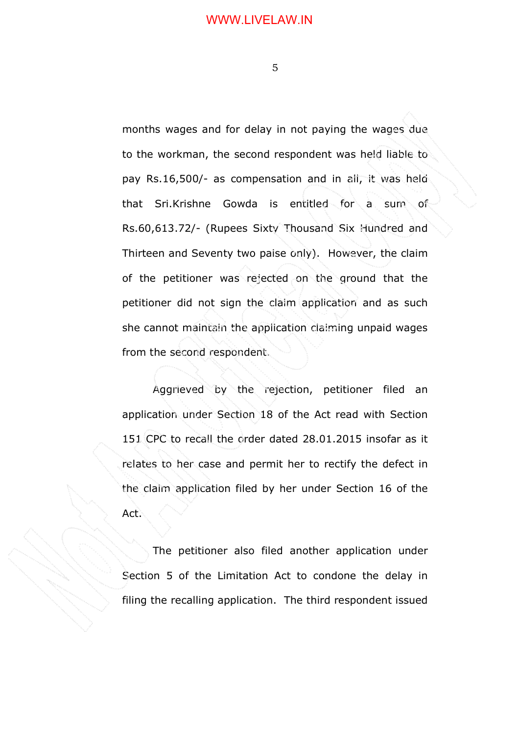months wages and for delay in not paying the wages due to the workman, the second respondent was held liable to pay Rs.16,500/- as compensation and in all, it was held that Sri.Krishne Gowda is entitled for a sum of Rs.60,613.72/- (Rupees Sixty Thousand Six Hundred and Thirteen and Seventy two paise only). However, the claim of the petitioner was rejected on the ground that the petitioner did not sign the claim application and as such she cannot maintain the application claiming unpaid wages from the second respondent.

Aggrieved by the rejection, petitioner filed an application under Section 18 of the Act read with Section 151 CPC to recall the order dated 28.01.2015 insofar as it relates to her case and permit her to rectify the defect in the claim application filed by her under Section 16 of the Act.

The petitioner also filed another application under Section 5 of the Limitation Act to condone the delay in filing the recalling application. The third respondent issued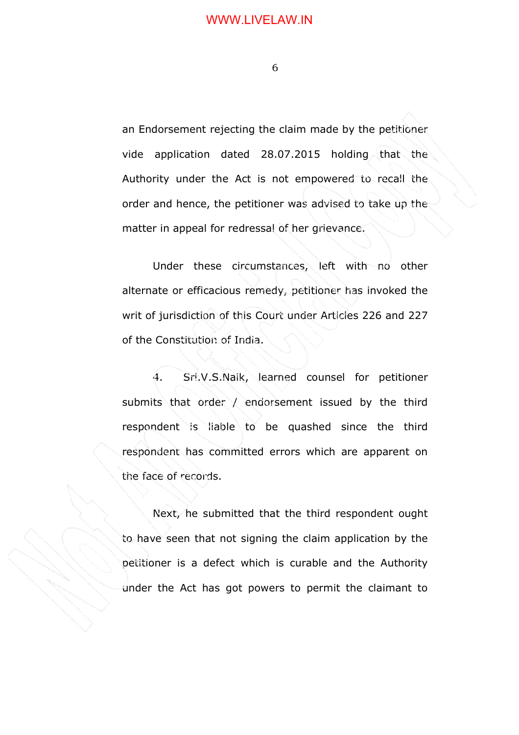an Endorsement rejecting the claim made by the petitioner vide application dated 28.07.2015 holding that the Authority under the Act is not empowered to recall the order and hence, the petitioner was advised to take up the matter in appeal for redressal of her grievance.

Under these circumstances, left with no other alternate or efficacious remedy, petitioner has invoked the writ of jurisdiction of this Court under Articles 226 and 227 of the Constitution of India.

4. Sri.V.S.Naik, learned counsel for petitioner submits that order / endorsement issued by the third respondent is liable to be quashed since the third respondent has committed errors which are apparent on the face of records.

Next, he submitted that the third respondent ought to have seen that not signing the claim application by the petitioner is a defect which is curable and the Authority under the Act has got powers to permit the claimant to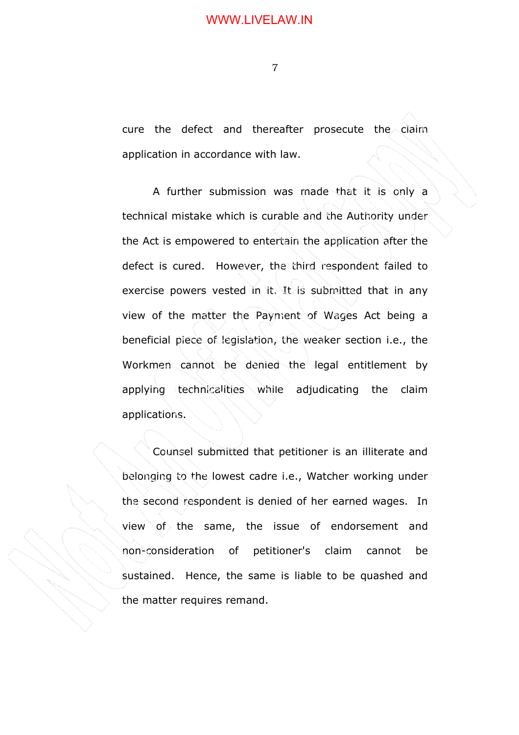#### WWW.LIVELAW.IN

7

cure the defect and thereafter prosecute the claim application in accordance with law.

A further submission was made that it is only a technical mistake which is curable and the Authority under the Act is empowered to entertain the application after the defect is cured. However, the third respondent failed to exercise powers vested in it. It is submitted that in any view of the matter the Payment of Wages Act being a beneficial piece of legislation, the weaker section i.e., the Workmen cannot be denied the legal entitlement by applying technicalities while adjudicating the claim applications.

Counsel submitted that petitioner is an illiterate and belonging to the lowest cadre i.e., Watcher working under the second respondent is denied of her earned wages. In view of the same, the issue of endorsement and non-consideration of petitioner's claim cannot be sustained. Hence, the same is liable to be quashed and the matter requires remand.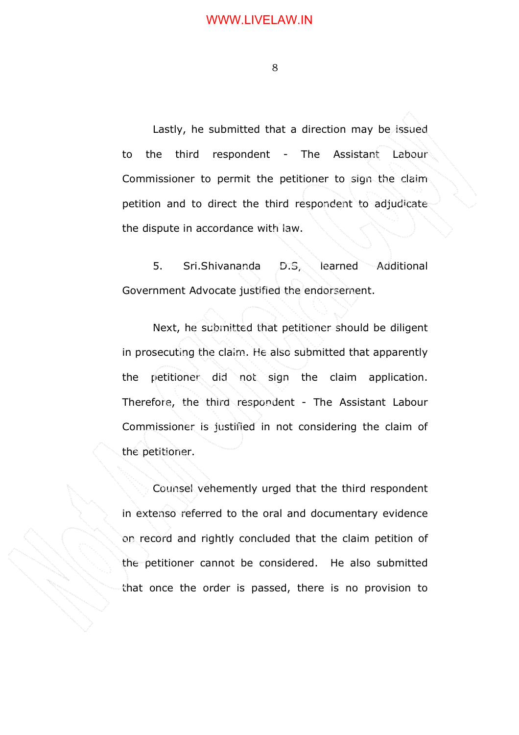Lastly, he submitted that a direction may be issued to the third respondent - The Assistant Labour Commissioner to permit the petitioner to sign the claim petition and to direct the third respondent to adjudicate. the dispute in accordance with law.

5. Sri.Shivananda D.S, learned Additional Government Advocate justified the endorsement.

Next, he submitted that petitioner should be diligent in prosecuting the claim. He also submitted that apparently the petitioner did not sign the claim application. Therefore, the third respondent - The Assistant Labour Commissioner is justified in not considering the claim of the petitioner.

Counsel vehemently urged that the third respondent in extenso referred to the oral and documentary evidence on record and rightly concluded that the claim petition of the petitioner cannot be considered. He also submitted that once the order is passed, there is no provision to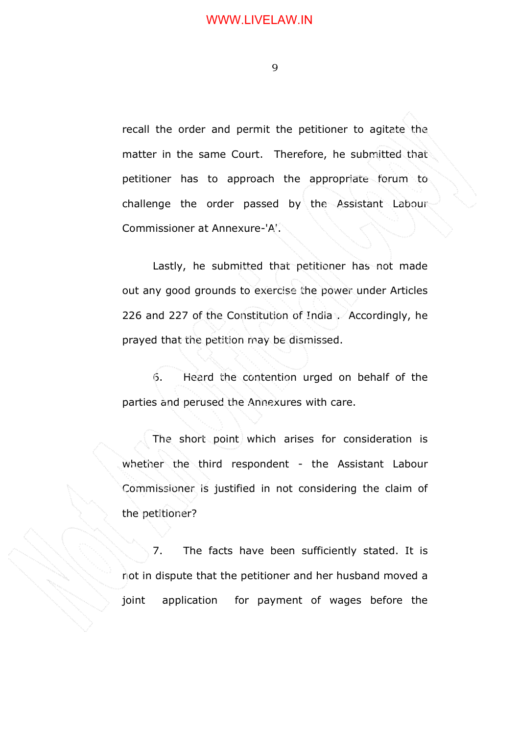recall the order and permit the petitioner to agitate the matter in the same Court. Therefore, he submitted that petitioner has to approach the appropriate forum to challenge the order passed by the Assistant Labour Commissioner at Annexure-'A'.

Lastly, he submitted that petitioner has not made out any good grounds to exercise the power under Articles 226 and 227 of the Constitution of India . Accordingly, he prayed that the petition may be dismissed.

6. Heard the contention urged on behalf of the parties and perused the Annexures with care.

 The short point which arises for consideration is whether the third respondent - the Assistant Labour Commissioner is justified in not considering the claim of the petitioner?

 7. The facts have been sufficiently stated. It is not in dispute that the petitioner and her husband moved a joint application for payment of wages before the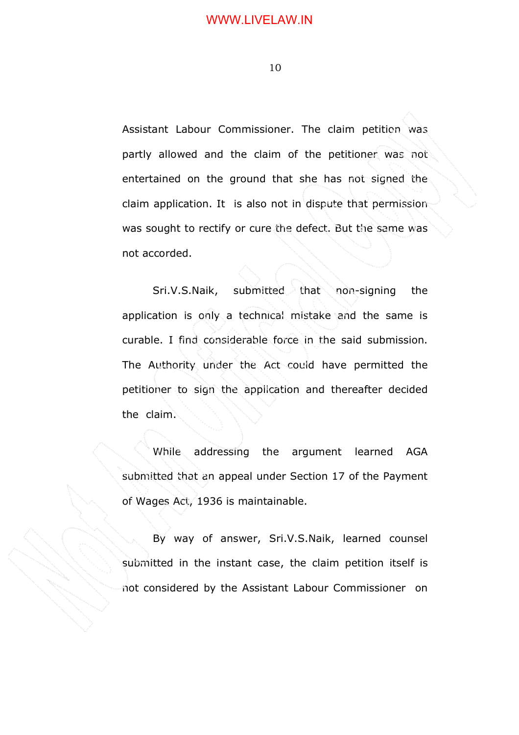Assistant Labour Commissioner. The claim petition was partly allowed and the claim of the petitioner was not entertained on the ground that she has not signed the claim application. It is also not in dispute that permission was sought to rectify or cure the defect. But the same was not accorded.

 Sri.V.S.Naik, submitted that non-signing the application is only a technical mistake and the same is curable. I find considerable force in the said submission. The Authority under the Act could have permitted the petitioner to sign the application and thereafter decided the claim.

While addressing the argument learned AGA submitted that an appeal under Section 17 of the Payment of Wages Act, 1936 is maintainable.

By way of answer, Sri.V.S.Naik, learned counsel submitted in the instant case, the claim petition itself is not considered by the Assistant Labour Commissioner on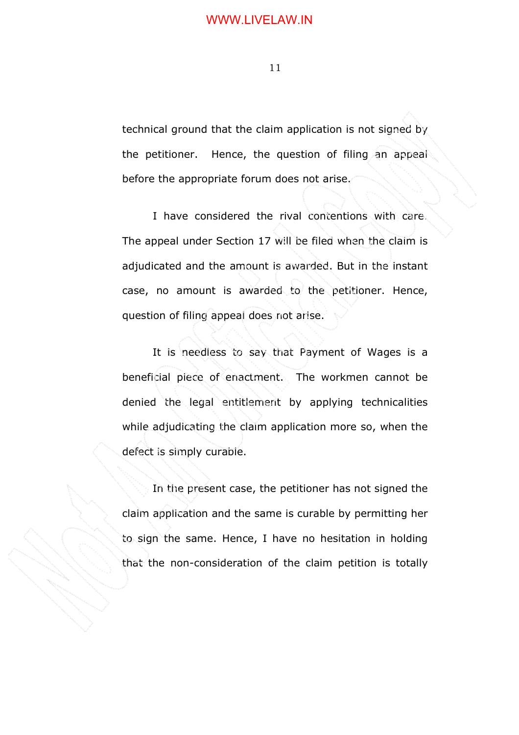technical ground that the claim application is not signed by the petitioner. Hence, the question of filing an appeal before the appropriate forum does not arise.

I have considered the rival contentions with care. The appeal under Section 17 will be filed when the claim is adjudicated and the amount is awarded. But in the instant case, no amount is awarded to the petitioner. Hence, question of filing appeal does not arise.

 It is needless to say that Payment of Wages is a beneficial piece of enactment. The workmen cannot be denied the legal entitlement by applying technicalities while adjudicating the claim application more so, when the defect is simply curable.

 In the present case, the petitioner has not signed the claim application and the same is curable by permitting her to sign the same. Hence, I have no hesitation in holding that the non-consideration of the claim petition is totally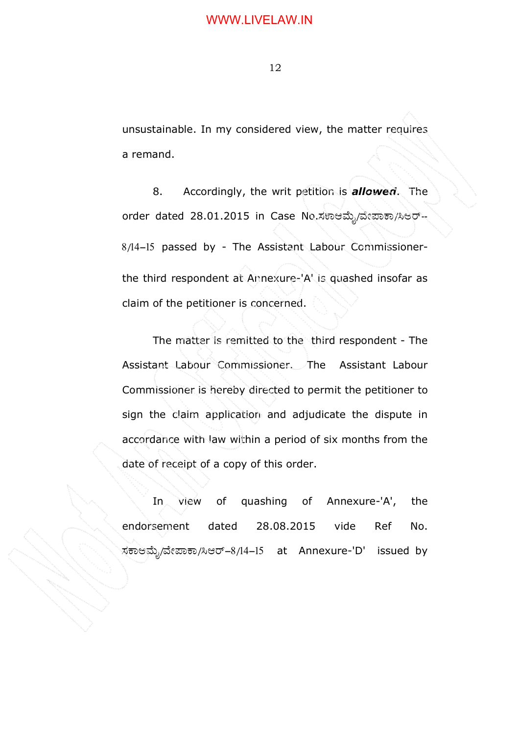## WWW.LIVELAW.IN

12

unsustainable. In my considered view, the matter requires a remand.

8. Accordingly, the writ petition is *allowed*. The order dated 28.01.2015 in Case No.ಸಕಾಆಮೈ/ವೇಪಾಕಾ/ಸಿಆರ್-8/14-15 passed by - The Assistant Labour Commissionerthe third respondent at Annexure-'A' is quashed insofar as claim of the petitioner is concerned.

The matter is remitted to the third respondent - The Assistant Labour Commissioner. The Assistant Labour Commissioner is hereby directed to permit the petitioner to sign the claim application and adjudicate the dispute in accordance with law within a period of six months from the date of receipt of a copy of this order.

In view of quashing of Annexure-'A', the endorsement dated 28.08.2015 vide Ref No. ಸಕಾಆಮೈ/ವೇಪಾಕಾ/ಸಿಆರ್–8/14–15 at Annexure-'D' issued by